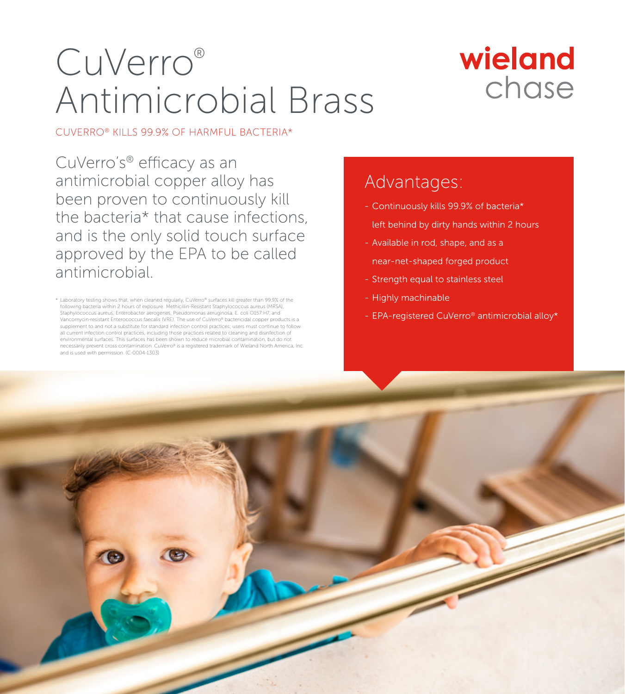# CuVerro® Antimicrobial Brass

## wieland chase

CUVERRO® KILLS 99.9% OF HARMFUL BACTERIA\*

CuVerro's® efficacy as an antimicrobial copper alloy has been proven to continuously kill the bacteria\* that cause infections, and is the only solid touch surface approved by the EPA to be called antimicrobial.

\* Laboratory testing shows that, when cleaned regularly, CuVerro® surfaces kill greater than 99.9% of the following bacteria within 2 hours of exposure: Methicillin-Resistant Staphylococcus aureus (MRSA), Staphylococcus aureus, Enterobacter aerogenes, Pseudomonas aeruginosa, E. coli O157:H7, and Vancomycin-resistant Enterococcus faecalis (VRE). The use of CuVerro® bactericidal copper products is a supplement to and not a substitute for standard infection control practices; users must continue to follow all current infection control practices, including those practices related to cleaning and disinfection of environmental surfaces. This surfaces has been shown to reduce microbial contamination, but do not necessarily prevent cross contamination. CuVerro® is a registered trademark of Wieland North America, Inc. and is used with permission. (C-0004-1303)

### Advantages:

- Continuously kills 99.9% of bacteria\* left behind by dirty hands within 2 hours
- Available in rod, shape, and as a
- near-net-shaped forged product
- Strength equal to stainless steel
- Highly machinable
- EPA-registered CuVerro® antimicrobial alloy\*